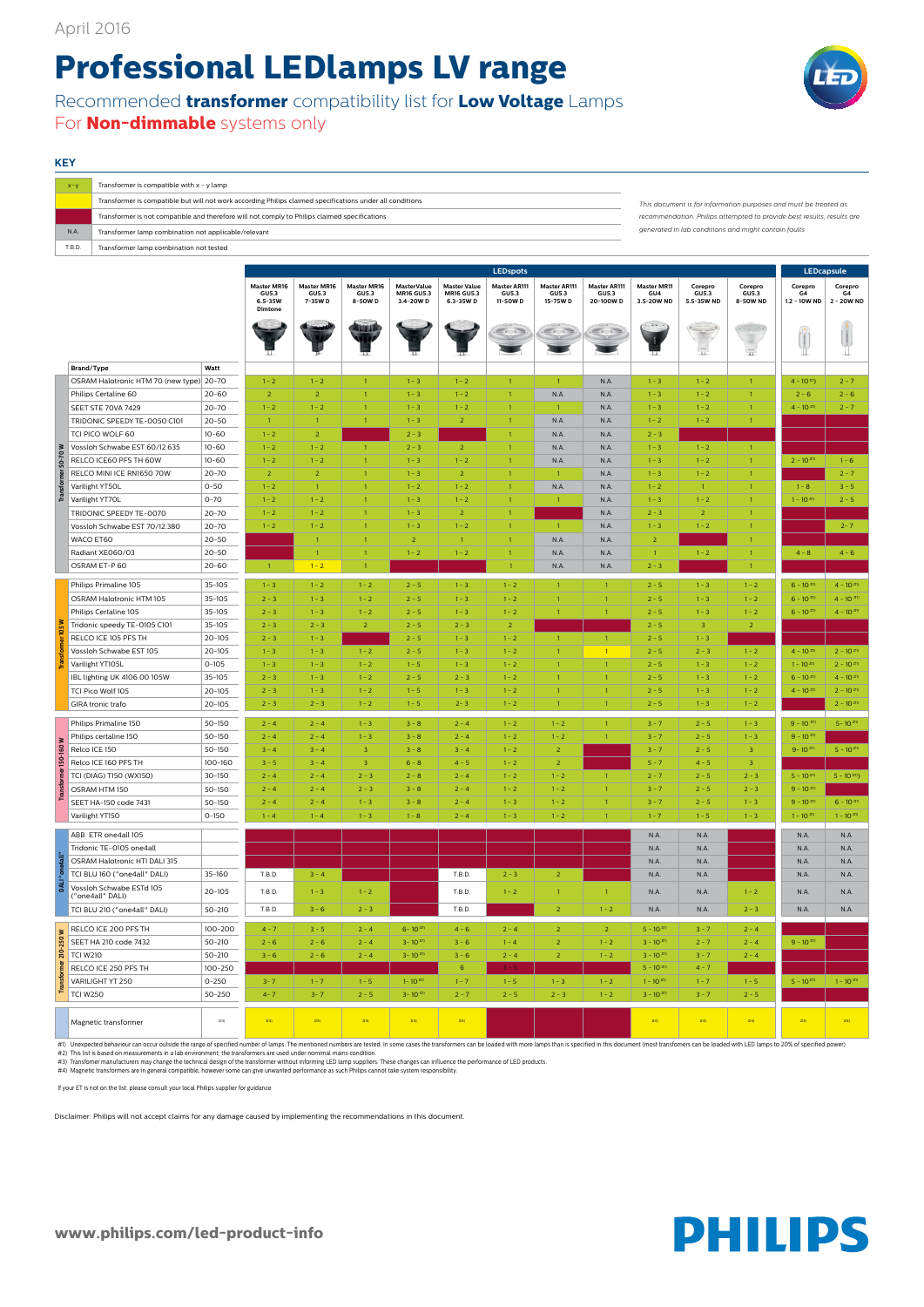**www.philips.com/led-product-info**



## **KEY**

## **Professional LEDlamps LV range**

Recommended **transformer** compatibility list for **Low Voltage** Lamps For **Non-dimmable** systems only

| $X - V$ | Transformer is compatible with $x - y$ lamp                                                               |                                                                                                                                            |  |  |  |
|---------|-----------------------------------------------------------------------------------------------------------|--------------------------------------------------------------------------------------------------------------------------------------------|--|--|--|
|         | Transformer is compatible but will not work according Philips claimed specifications under all conditions | This document is for information purposes and must be treated as<br>recommendation. Philips attempted to provide best results, results are |  |  |  |
|         | Transformer is not compatible and therefore will not comply to Philips claimed specifications             |                                                                                                                                            |  |  |  |
| N.A     | Transformer lamp combination not applicable/relevant                                                      | generated in lab conditions and might contain faults                                                                                       |  |  |  |
| T.B.D.  | Transformer lamp combination not tested                                                                   |                                                                                                                                            |  |  |  |

|  |                                              |            | <b>LEDspots</b>                                       |                                        |                                        |                                                      |                                                       |                                         |                                          |                                          |                                         | <b>LEDcapsule</b>              |                                     |                               |                             |
|--|----------------------------------------------|------------|-------------------------------------------------------|----------------------------------------|----------------------------------------|------------------------------------------------------|-------------------------------------------------------|-----------------------------------------|------------------------------------------|------------------------------------------|-----------------------------------------|--------------------------------|-------------------------------------|-------------------------------|-----------------------------|
|  |                                              |            | <b>Master MR16</b><br>GU5.3<br>$6.5 - 35W$<br>Dimtone | <b>Master MR16</b><br>GU5.3<br>7-35W D | <b>Master MR16</b><br>GU5.3<br>8-50W D | <b>MasterValue</b><br><b>MR16 GU5.3</b><br>3.4-20W D | <b>Master Value</b><br><b>MR16 GU5.3</b><br>6.3-35W D | <b>Master AR111</b><br>GU5.3<br>11-50WD | <b>Master AR111</b><br>GU5.3<br>15-75W D | <b>Master AR111</b><br>GU5.3<br>20-100WD | <b>Master MR11</b><br>GU4<br>3.5-20W ND | Corepro<br>GU5.3<br>5.5-35W ND | Corepro<br><b>GU5.3</b><br>8-50W ND | Corepro<br>G4<br>1.2 - 10W ND | Corepro<br>G4<br>2 - 20W ND |
|  |                                              |            |                                                       |                                        |                                        |                                                      |                                                       |                                         |                                          |                                          |                                         | $\tilde{\mathbf{u}}$           | $\overline{\mathbf{11}}$            |                               |                             |
|  | Brand/Type<br>Watt                           |            |                                                       |                                        |                                        |                                                      |                                                       |                                         |                                          |                                          |                                         |                                |                                     |                               |                             |
|  | OSRAM Halotronic HTM 70 (new type) 20-70     |            | $1 - 2$                                               | $1 - 2$                                | 1 <sup>1</sup>                         | $1 - 3$                                              | $1 - 2$                                               | $\overline{1}$                          | $\mathbf{1}$                             | N.A.                                     | $1 - 3$                                 | $1 - 2$                        | $\mathbf{1}$                        | $4 - 10$ <sup>#1</sup> )      | $2 - 7$                     |
|  | Philips Certaline 60                         | $20 - 60$  | $\overline{2}$                                        | $\overline{2}$                         | $\mathbf{1}$                           | $1 - 3$                                              | $1 - 2$                                               | $\overline{1}$                          | N.A.                                     | N.A.                                     | $1 - 3$                                 | $1 - 2$                        |                                     | $2 - 6$                       | $2 - 6$                     |
|  | SEET STE 70VA 7429<br>$20 - 70$              |            | $1 - 2$                                               | $1 - 2$                                | $\mathbf{1}$                           | $1 - 3$                                              | $1 - 2$                                               | $\overline{1}$                          | $\mathbf{1}$                             | N.A.                                     | $1 - 3$                                 | $1 - 2$                        |                                     | $4 - 10^{41}$                 | $2 - 7$                     |
|  | TRIDONIC SPEEDY TE-0050 C101                 | $20 - 50$  | $\mathbf{1}$                                          | $\overline{1}$                         | $\mathbf{1}$                           | $1 - 3$                                              | $\overline{2}$                                        | $\overline{1}$                          | N.A.                                     | N.A.                                     | $1 - 2$                                 | $1 - 2$                        |                                     |                               |                             |
|  | TCI PICO WOLF 60                             | $10 - 60$  | $1 - 2$                                               | $\overline{2}$                         |                                        | $2 - 3$                                              |                                                       |                                         | N.A.                                     | N.A.                                     | $2 - 3$                                 |                                |                                     |                               |                             |
|  | Vossloh Schwabe EST 60/12.635                | $10 - 60$  | $1 - 2$                                               | $1 - 2$                                | $\overline{1}$                         | $2 - 3$                                              | $\overline{2}$                                        | $\overline{1}$                          | N.A.                                     | N.A.                                     | $1 - 3$                                 | $1 - 2$                        |                                     |                               |                             |
|  | RELCO ICE60 PFS TH 60W                       | $10 - 60$  | $1 - 2$                                               | $1 - 2$                                | $\mathbf{1}$                           | $1 - 3$                                              | $1 - 2$                                               | $\overline{1}$                          | N.A.                                     | N.A.                                     | $1 - 3$                                 | $1 - 2$                        |                                     | $2 - 10^{#1}$                 | $1 - 6$                     |
|  | RELCO MINI ICE RN1650 70W                    | $20 - 70$  | $\overline{2}$                                        | $\overline{2}$                         | $\mathbf{1}$                           | $1 - 3$                                              | $\overline{2}$                                        | $\overline{1}$                          | $\mathbf{1}$                             | N.A.                                     | $1 - 3$                                 | $1 - 2$                        |                                     |                               | $2 - 7$                     |
|  | Varilight YT50L<br>$0 - 50$                  |            | $1 - 2$                                               | $\overline{1}$                         | $\mathbf{1}$                           | $1 - 2$                                              | $1 - 2$                                               | $\overline{1}$                          | N.A.                                     | N.A.                                     | $1 - 2$                                 | $\overline{1}$                 |                                     | $1 - 8$                       | $3 - 5$                     |
|  | Varilight YT70L<br>$0 - 70$                  |            | $1 - 2$                                               | $1 - 2$                                | $\mathbf{1}$                           | $1 - 3$                                              | $1 - 2$                                               | $\overline{1}$                          | $\mathbf{1}$                             | N.A.                                     | $1 - 3$                                 | $1 - 2$                        |                                     | $1 - 10^{#0}$                 | $2 - 5$                     |
|  | TRIDONIC SPEEDY TE-0070<br>$20 - 70$         |            | $1 - 2$                                               | $1 - 2$                                | $\mathbf{1}$                           | $1 - 3$                                              | $\overline{2}$                                        | $\overline{1}$                          |                                          | N.A.                                     | $2 - 3$                                 | $\overline{2}$                 |                                     |                               |                             |
|  | Vossloh Schwabe EST 70/12.380<br>$20 - 70$   |            | $1 - 2$                                               | $1 - 2$                                | $\mathbf{1}$                           | $1 - 3$                                              | $1 - 2$                                               | $\overline{1}$                          | $\mathbf{1}$                             | N.A.                                     | $1 - 3$                                 | $1 - 2$                        |                                     |                               | $2 - 7$                     |
|  | WACO ET60                                    | $20 - 50$  |                                                       | $\overline{1}$                         | $\mathbf{1}$                           | $\overline{2}$                                       | $\overline{1}$                                        | $\overline{1}$                          | N.A.                                     | N.A.                                     | $\overline{2}$                          |                                |                                     |                               |                             |
|  | Radiant XE060/03                             | $20 - 50$  |                                                       | $\mathbf{1}$                           | $\mathbf{1}$                           | $1 - 2$                                              | $1 - 2$                                               | $\overline{1}$                          | N.A.                                     | N.A.                                     | $\mathbf{1}$                            | $1 - 2$                        |                                     | $4 - 8$                       | $4 - 6$                     |
|  | OSRAM ET-P60<br>$20 - 60$                    |            | $\overline{1}$                                        | $1 - 2$                                | $\mathbf{1}$                           |                                                      |                                                       |                                         | N.A.                                     | N.A.                                     | $2 - 3$                                 |                                |                                     |                               |                             |
|  |                                              |            |                                                       |                                        |                                        |                                                      |                                                       |                                         |                                          |                                          |                                         |                                |                                     |                               |                             |
|  | Philips Primaline 105                        | $35 - 105$ | $1 - 3$                                               | $1 - 2$                                | $1 - 2$                                | $2 - 5$                                              | $1 - 3$                                               | $1 - 2$                                 | $\mathbf{1}$                             | $\mathbf{1}$                             | $2 - 5$                                 | $1 - 3$                        | $1 - 2$                             | $6 - 10^{#1}$                 | $4 - 10^{#0}$               |
|  | OSRAM Halotronic HTM 105                     | $35 - 105$ | $2 - 3$                                               | $1 - 3$                                | $1 - 2$                                | $2 - 5$                                              | $1 - 3$                                               | $1 - 2$                                 | $\mathbf{1}$                             | $\mathbf{1}$                             | $2 - 5$                                 | $1 - 3$                        | $1 - 2$                             | $6 - 10^{#1}$                 | $4 - 10^{t+1}$              |
|  | Philips Certaline 105                        | $35 - 105$ | $2 - 3$                                               | $1 - 3$                                | $1 - 2$                                | $2 - 5$                                              | $1 - 3$                                               | $1 - 2$                                 | $\mathbf{1}$                             | $\mathbf{1}$                             | $2 - 5$                                 | $1 - 3$                        | $1 - 2$                             | $6 - 10^{#1}$                 | $4 - 10^{#1}$               |
|  | Tridonic speedy TE-0105 C101                 | $35 - 105$ | $2 - 3$                                               | $2 - 3$                                | $\overline{2}$                         | $2 - 5$                                              | $2 - 3$                                               | $\overline{2}$                          |                                          |                                          | $2 - 5$                                 | $\overline{3}$                 | $\overline{2}$                      |                               |                             |
|  | RELCO ICE 105 PFS TH                         | $20 - 105$ | $2 - 3$                                               | $1 - 3$                                |                                        | $2 - 5$                                              | $1 - 3$                                               | $1 - 2$                                 | $\mathbf{1}$                             | $\mathbf{1}$                             | $2 - 5$                                 | $1 - 3$                        |                                     |                               |                             |
|  | Vossloh Schwabe EST 105                      | $20 - 105$ | $1 - 3$                                               | $1 - 3$                                | $1 - 2$                                | $2 - 5$                                              | $1 - 3$                                               | $1 - 2$                                 | $\mathbf{1}$                             | $\mathbf{1}$                             | $2 - 5$                                 | $2 - 3$                        | $1 - 2$                             | $4 - 10^{41}$                 | $2 - 10^{#1}$               |
|  | $0 - 105$<br>Varilight YT105L                |            | $1 - 3$                                               | $1 - 3$                                | $1 - 2$                                | $1 - 5$                                              | $1 - 3$                                               | $1 - 2$                                 | $\mathbf{1}$                             | $\mathbf{1}$                             | $2 - 5$                                 | $1 - 3$                        | $1 - 2$                             | $1 - 10^{10}$                 | $2 - 10^{#1}$               |
|  | IBL lighting UK 4106.00 105W                 | $35 - 105$ | $2 - 3$                                               | $1 - 3$                                | $1 - 2$                                | $2 - 5$                                              | $2 - 3$                                               | $1 - 2$                                 | $\mathbf{1}$                             | $\mathbf{1}$                             | $2 - 5$                                 | $1 - 3$                        | $1 - 2$                             | $6 - 10^{#1}$                 | $4 - 10^{#0}$               |
|  | TCI Pico Wolf 105                            | $20 - 105$ | $2 - 3$                                               | $1 - 3$                                | $1 - 2$                                | $1 - 5$                                              | $1 - 3$                                               | $1 - 2$                                 | $\mathbf{1}$                             | $\mathbf{1}$                             | $2 - 5$                                 | $1 - 3$                        | $1 - 2$                             | $4 - 10^{#1}$                 | $2 - 10^{#1}$               |
|  | GIRA tronic trafo                            | $20 - 105$ | $2 - 3$                                               | $2 - 3$                                | $1 - 2$                                | $1 - 5$                                              | $2 - 3$                                               | $1 - 2$                                 | $\mathbf{1}$                             | $\mathbf{1}$                             | $2 - 5$                                 | $1 - 3$                        | $1 - 2$                             |                               | $2 - 10^{#1}$               |
|  |                                              |            |                                                       |                                        |                                        |                                                      |                                                       |                                         |                                          |                                          |                                         |                                |                                     |                               |                             |
|  | Philips Primaline 150                        | 50-150     | $2 - 4$                                               | $2 - 4$                                | $1 - 3$                                | $3 - 8$                                              | $2 - 4$                                               | $1 - 2$                                 | $1 - 2$                                  | $\mathbf{1}$                             | $3 - 7$                                 | $2 - 5$                        | $1 - 3$                             | $9 - 10$ #1)                  | $5 - 10^{#0}$               |
|  | Philips certaline 150                        | 50-150     | $2 - 4$                                               | $2 - 4$                                | $1 - 3$                                | $3 - 8$                                              | $2 - 4$                                               | $1 - 2$                                 | $1 - 2$                                  | $\mathbf{1}$                             | $3 - 7$                                 | $2 - 5$                        | $1 - 3$                             | $9 - 10^{#1}$                 |                             |
|  | Relco ICE 150                                | 50-150     | $3 - 4$                                               | $3 - 4$                                | $\overline{3}$                         | $3 - 8$                                              | $3 - 4$                                               | $1 - 2$                                 | $\overline{2}$                           |                                          | $3 - 7$                                 | $2 - 5$                        | 3                                   | $9 - 10^{41}$                 | $5 - 10$ #1)                |
|  | Relco ICE 160 PFS TH                         | 100-160    | $3 - 5$                                               | $3 - 4$                                | 3 <sup>°</sup>                         | $6 - 8$                                              | $4 - 5$                                               | $1 - 2$                                 | $\overline{2}$                           |                                          | $5 - 7$                                 | $4 - 5$                        | $\overline{3}$                      |                               |                             |
|  | TCI (DIAG) T150 (WX150)                      | $30 - 150$ | $2 - 4$                                               | $2 - 4$                                | $2 - 3$                                | $2 - 8$                                              | $2 - 4$                                               | $1 - 2$                                 | $1 - 2$                                  | $\mathbf{1}$                             | $2 - 7$                                 | $2 - 5$                        | $2 - 3$                             | $5 - 10^{#0}$                 | $5 - 10^{(n)}$              |
|  | OSRAM HTM 150                                | 50-150     | $2 - 4$                                               | $2 - 4$                                | $2 - 3$                                | $3 - 8$                                              | $2 - 4$                                               | $1 - 2$                                 | $1 - 2$                                  | $\mathbf{1}$                             | $3 - 7$                                 | $2 - 5$                        | $2 - 3$                             | $9 - 10^{#1}$                 |                             |
|  | SEET HA-150 code 7431                        | 50-150     | $2 - 4$                                               | $2 - 4$                                | $1 - 3$                                | $3 - 8$                                              | $2 - 4$                                               | $1 - 3$                                 | $1 - 2$                                  | $\mathbf{1}$                             | $3 - 7$                                 | $2 - 5$                        | $1 - 3$                             | $9 - 10^{#1}$                 | $6 - 10^{#1}$               |
|  | Varilight YT150<br>$0 - 150$                 |            | $1 - 4$                                               | $1 - 4$                                | $1 - 3$                                | $1 - 8$                                              | $2 - 4$                                               | $1 - 3$                                 | $1 - 2$                                  | $\mathbf{1}$                             | $1 - 7$                                 | $1 - 5$                        | $1 - 3$                             | $1 - 10^{#0}$                 | $1 - 10^{#0}$               |
|  | ABB ETR one4all 105                          |            |                                                       |                                        |                                        |                                                      |                                                       |                                         |                                          |                                          | N.A.                                    | N.A.                           |                                     | N.A.                          | N.A.                        |
|  | Tridonic TE-0105 one4all                     |            |                                                       |                                        |                                        |                                                      |                                                       |                                         |                                          |                                          | N.A.                                    | N.A.                           |                                     | N.A.                          | N.A.                        |
|  | OSRAM Halotronic HTI DALI 315                |            |                                                       |                                        |                                        |                                                      |                                                       |                                         |                                          |                                          | N.A.                                    | N.A.                           |                                     | N.A.                          | N.A.                        |
|  | TCI BLU 160 ("one4all" DALI)                 | 35-160     | T.B.D.                                                | $3 - 4$                                |                                        |                                                      | T.B.D.                                                | $2 - 3$                                 | $\overline{2}$                           |                                          | N.A.                                    | N.A.                           |                                     | N.A.                          | N.A.                        |
|  | Vossloh Schwabe ESTd 105<br>("one4all" DALI) | $20 - 105$ | T.B.D.                                                | $1 - 3$                                | $1 - 2$                                |                                                      | T.B.D.                                                | $1 - 2$                                 | $\mathbf{1}$                             | $\mathbf{1}$                             | N.A.                                    | N.A.                           | $1 - 2$                             | N.A.                          | N.A.                        |
|  | TCI BLU 210 ("one4all" DALI)                 | $50 - 210$ | T.B.D.                                                | $3 - 6$                                | $2 - 3$                                |                                                      | T.B.D.                                                |                                         | 2 <sup>1</sup>                           | $1 - 2$                                  | N.A.                                    | N.A.                           | $2 - 3$                             | N.A.                          | N.A.                        |
|  | RELCO ICE 200 PFS TH                         | 100-200    | $4 - 7$                                               | $3 - 5$                                | $2 - 4$                                | $6 - 10^{#1}$                                        | $4 - 6$                                               | $2 - 4$                                 | 2 <sup>7</sup>                           | $\overline{2}$                           | $5 - 10$ #1)                            | $3 - 7$                        | $2 - 4$                             |                               |                             |
|  | SEET HA 210 code 7432                        | $50 - 210$ | $2 - 6$                                               | $2 - 6$                                | $2 - 4$                                | $3 - 10$ #1)                                         | $3 - 6$                                               | $1 - 4$                                 | 2 <sup>1</sup>                           | $1 - 2$                                  | $3 - 10^{#1}$                           | $2 - 7$                        | $2 - 4$                             | $9 - 10^{#1}$                 |                             |
|  | <b>TCI W210</b>                              | $50 - 210$ | $3 - 6$                                               | $2 - 6$                                | $2 - 4$                                | $3 - 10^{#1}$                                        | $3 - 6$                                               | $2 - 4$                                 | 2 <sup>1</sup>                           | $1 - 2$                                  | $3 - 10^{#1}$                           | $3 - 7$                        | $2 - 4$                             |                               |                             |
|  | RELCO ICE 250 PFS TH                         | 100-250    |                                                       |                                        |                                        |                                                      | 6 <sup>1</sup>                                        | $3 - 5$                                 |                                          |                                          | $5 - 10^{#1}$                           | $4 - 7$                        |                                     |                               |                             |
|  | VARILIGHT YT 250                             | $0 - 250$  | $3 - 7$                                               | $1 - 7$                                | $1 - 5$                                | $1 - 10^{#1}$                                        | $1 - 7$                                               | $1 - 5$                                 | $1 - 3$                                  | $1 - 2$                                  | $1 - 10^{#0}$                           | $1 - 7$                        | $1 - 5$                             | $5 - 10^{#1}$                 | $1 - 10^{#0}$               |
|  |                                              |            |                                                       |                                        |                                        |                                                      |                                                       |                                         |                                          |                                          |                                         |                                |                                     |                               |                             |

| Æ. | TCI MDEC             | 50-250 | $\sim$ $-$ | $2 - 5$ | $3 - 10$ #1) | $2 - 7$ | $2 - 5$ | $2 - 3$ | . | $3 - 10^{20}$ | $2 - 7$ |  |  |
|----|----------------------|--------|------------|---------|--------------|---------|---------|---------|---|---------------|---------|--|--|
|    | Magnetic transformer | #4)    |            |         |              |         |         |         |   |               |         |  |  |

#1) Unexpected behaviour can occur outside the range of specified number of lamps. The mentioned numbers are tested. In some cases the transformers can be loaded with more lamps than is specified in this document (most tra

#2) This list is based on measurements in a lab environment; the transformers are used under nomimal mains condition.

#3) Transfomer manufacturers may change the technical design of the transformer without informing LED lamp suppliers. These changes can influence the performance of LED products.

#4) Magnetic transformers are in general compatible, however some can give unwanted performance as such Philips cannot take system responsibility.

If your ET is not on the list: please consult your local Philips supplier for guidance

Disclaimer: Philips will not accept claims for any damage caused by implementing the recommendations in this document.